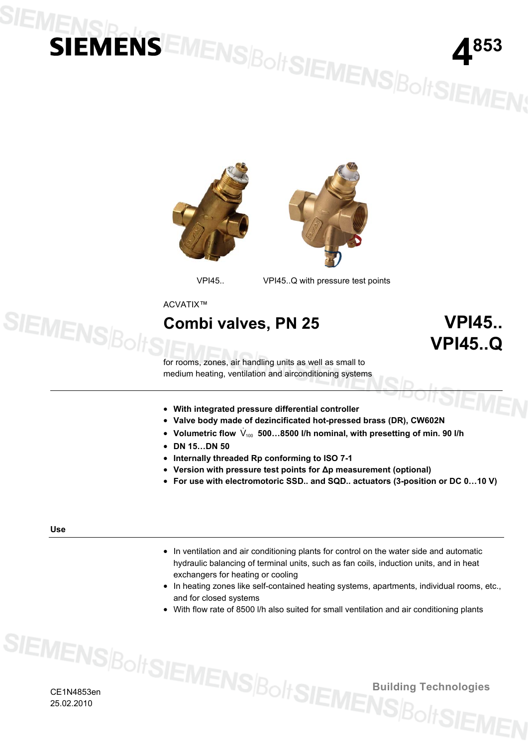# <span id="page-0-0"></span>**IENSPARSEMENSBOITSIEMENSBOITSIEN**





VPI45.. VPI45..Q with pressure test points

### ACVATIX™<br>
SIEMFNGID L **Combi valves, PN 25 VPI45..**

## **VPI45..Q**

for rooms, zones, air handling units as well as small to medium heating, ventilation and airconditioning systems

- **With integrated pressure differential controller**
- **Valve body made of dezincificated hot-pressed brass (DR), CW602N**
- Volumetric flow  $\sqrt{v_{100}}$  500...8500 l/h nominal, with presetting of min. 90 l/h
- **DN 15…DN 50**
- **Internally threaded Rp conforming to ISO 7-1**
- **Version with pressure test points for Δp measurement (optional)**
- **For use with electromotoric SSD.. and SQD.. actuators (3-position or DC 0…10 V)**

**Use** 

- In ventilation and air conditioning plants for control on the water side and automatic hydraulic balancing of terminal units, such as fan coils, induction units, and in heat exchangers for heating or cooling
- In heating zones like self-contained heating systems, apartments, individual rooms, etc., and for closed systems
- With flow rate of 8500 l/h also suited for small ventilation and air conditioning plants

CE1N4853en 25.02.2010

**Building Technologies**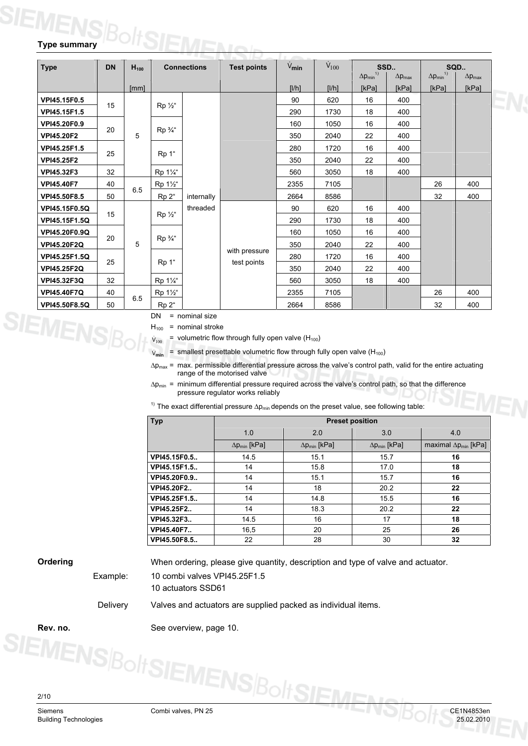### **Type summary**

| <b>Type</b>        | <b>DN</b> | $H_{100}$ |                                     | <b>Connections</b>                   | <b>Test points</b>                                     | $\dot{V}$ <sub>min</sub> | $V_{100}$<br>SSD |                       |                         | SQD                  |                         |
|--------------------|-----------|-----------|-------------------------------------|--------------------------------------|--------------------------------------------------------|--------------------------|------------------|-----------------------|-------------------------|----------------------|-------------------------|
|                    |           |           |                                     |                                      |                                                        |                          |                  | $\Delta p_{min}^{1)}$ | $\Delta p_{\text{max}}$ | $\Delta p_{min}^{1}$ | $\Delta p_{\text{max}}$ |
|                    |           | [mm]      |                                     |                                      |                                                        | [1/h]                    | [1/h]            | [kPa]                 | [kPa]                   | [kPa]                | [kPa]                   |
| VPI45.15F0.5       | 15        |           |                                     |                                      |                                                        | 90                       | 620              | 16                    | 400                     |                      |                         |
| VPI45.15F1.5       |           |           | Rp 1/2"                             |                                      |                                                        | 290                      | 1730             | 18                    | 400                     |                      |                         |
| VPI45.20F0.9       |           |           |                                     |                                      |                                                        | 160                      | 1050             | 16                    | 400                     |                      |                         |
| <b>VPI45.20F2</b>  | 20        | 5         | Rp 3/4"                             |                                      |                                                        | 350                      | 2040             | 22                    | 400                     |                      |                         |
| VPI45.25F1.5       |           |           |                                     |                                      |                                                        | 280                      | 1720             | 16                    | 400                     |                      |                         |
| <b>VPI45.25F2</b>  | 25        |           | Rp 1"                               |                                      |                                                        | 350                      | 2040             | 22                    | 400                     |                      |                         |
| VPI45.32F3         | 32        |           | Rp 11/4"                            |                                      |                                                        | 560                      | 3050             | 18                    | 400                     |                      |                         |
| <b>VPI45.40F7</b>  | 40        |           | Rp 11/2"                            |                                      |                                                        | 2355                     | 7105             |                       |                         | 26                   | 400                     |
| VPI45.50F8.5       | 50        | 6.5       | Rp 2"                               | internally                           |                                                        | 2664                     | 8586             |                       |                         | 32                   | 400                     |
| VPI45.15F0.5Q      |           |           | Rp 1/2"                             | threaded                             |                                                        | 90                       | 620              | 16                    | 400                     |                      |                         |
| VPI45.15F1.5Q      | 15        |           |                                     |                                      |                                                        | 290                      | 1730             | 18                    | 400                     |                      |                         |
| VPI45.20F0.9Q      |           |           |                                     |                                      |                                                        | 160                      | 1050             | 16                    | 400                     |                      |                         |
| VPI45.20F2Q        | 20        | 5         | Rp 3/4"                             |                                      |                                                        | 350                      | 2040             | 22                    | 400                     |                      |                         |
| VPI45.25F1.5Q      |           |           |                                     |                                      | with pressure                                          | 280                      | 1720             | 16                    | 400                     |                      |                         |
| <b>VPI45.25F2Q</b> | 25        |           | Rp 1"                               |                                      | test points                                            | 350                      | 2040             | 22                    | 400                     |                      |                         |
| VPI45.32F3Q        | 32        |           | Rp 11/4"                            |                                      |                                                        | 560                      | 3050             | 18                    | 400                     |                      |                         |
| <b>VPI45.40F7Q</b> | 40        |           | Rp 11/2"                            |                                      |                                                        | 2355                     | 7105             |                       |                         | 26                   | 400                     |
| VPI45.50F8.5Q      | 50        | 6.5       | Rp 2"                               |                                      |                                                        | 2664                     | 8586             |                       |                         | 32                   | 400                     |
| <b>SIEMENS</b>     |           |           | <b>DN</b><br>$H_{100}$<br>$V_{100}$ | $=$ nominal size<br>= nominal stroke | = volumetric flow through fully open valve $(H_{100})$ |                          |                  |                       |                         |                      |                         |

V**min** = smallest presettable volumetric flow through fully open valve  $(H_{100})$ 

 $\Delta p_{\text{max}}$  = max. permissible differential pressure across the valve's control path, valid for the entire actuating range of the motorised valve

 $Δp<sub>min</sub>$  = minimum differential pressure required across the valve's control path, so that the difference pressure regulator works reliably

<sup>1)</sup> The exact differential pressure  $\Delta p_{min}$  depends on the preset value, see following table:

| <b>Typ</b>        |                        | <b>Preset position</b> |                        |                                |
|-------------------|------------------------|------------------------|------------------------|--------------------------------|
|                   | 1.0                    | 2.0                    | 3.0                    | 4.0                            |
|                   | $\Delta p_{min}$ [kPa] | $\Delta p_{min}$ [kPa] | $\Delta p_{min}$ [kPa] | maximal $\Delta p_{min}$ [kPa] |
| VPI45.15F0.5.     | 14.5                   | 15.1                   | 15.7                   | 16                             |
| VPI45.15F1.5      | 14                     | 15.8                   | 17.0                   | 18                             |
| VPI45.20F0.9.     | 14                     | 15.1                   | 15.7                   | 16                             |
| VPI45.20F2        | 14                     | 18                     | 20.2                   | 22                             |
| VPI45.25F1.5      | 14                     | 14.8                   | 15.5                   | 16                             |
| VPI45.25F2        | 14                     | 18.3                   | 20.2                   | 22                             |
| VPI45.32F3        | 14.5                   | 16                     | 17                     | 18                             |
| <b>VPI45.40F7</b> | 16,5                   | 20                     | 25                     | 26                             |
| VPI45.50F8.5      | 22                     | 28                     | 30                     | 32                             |

#### **Ordering**

When ordering, please give quantity, description and type of valve and actuator.

Example:

10 combi valves VPI45.25F1.5 10 actuators SSD61

Valves and actuators are supplied packed as individual items. Delivery

**Rev. no.** See overview, page [10.](#page-0-0)

2/10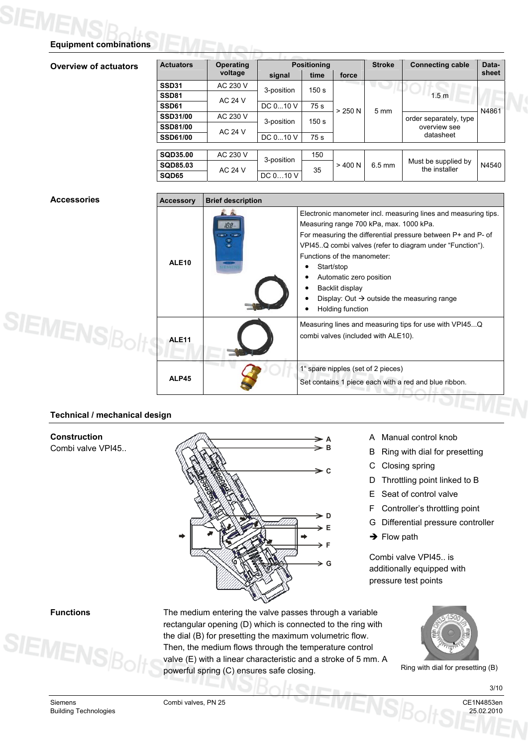#### <span id="page-2-0"></span>**Equipment combinations**

#### **Overview of actuators**

| <b>Actuators</b> | Operating      |            | <b>Positioning</b> |         | <b>Stroke</b>  | <b>Connecting cable</b>              | Data- |
|------------------|----------------|------------|--------------------|---------|----------------|--------------------------------------|-------|
|                  | voltage        | signal     | time               | force   |                |                                      | sheet |
| SSD31            | AC 230 V       | 3-position | 150 s              |         |                |                                      |       |
| <b>SSD81</b>     | AC 24 V        |            |                    |         |                | 1.5 <sub>m</sub>                     |       |
| SSD61            |                | DC 010 V   | 75s                | > 250 N | $5 \text{ mm}$ |                                      | N4861 |
| <b>SSD31/00</b>  | AC 230 V       | 3-position | 150 <sub>s</sub>   |         |                | order separately, type               |       |
| <b>SSD81/00</b>  | <b>AC 24 V</b> |            |                    |         |                | overview see                         |       |
| <b>SSD61/00</b>  |                | DC 010 V   | 75s                |         |                | datasheet                            |       |
|                  |                |            |                    |         |                |                                      |       |
| SQD35.00         | AC 230 V       | 3-position | 150                |         |                |                                      |       |
| SQD85.03         | AC 24 V        |            | 35                 | > 400 N | 6.5 mm         | Must be supplied by<br>the installer | N4540 |
| <b>SQD65</b>     |                | DC 010 V   |                    |         |                |                                      |       |

#### **Accessories**

| <b>Accessories</b>          | <b>Accessory</b>  | <b>Brief description</b> |                                                                                                                                                                                                                                                                                                                                                                                                                  |  |  |  |  |  |
|-----------------------------|-------------------|--------------------------|------------------------------------------------------------------------------------------------------------------------------------------------------------------------------------------------------------------------------------------------------------------------------------------------------------------------------------------------------------------------------------------------------------------|--|--|--|--|--|
|                             | <b>ALE10</b>      | $198 -$<br>CHO CHO<br>雷亚 | Electronic manometer incl. measuring lines and measuring tips.<br>Measuring range 700 kPa, max. 1000 kPa.<br>For measuring the differential pressure between P+ and P- of<br>VPI45. Q combi valves (refer to diagram under "Function").<br>Functions of the manometer:<br>Start/stop<br>Automatic zero position<br>Backlit display<br>Display: Out $\rightarrow$ outside the measuring range<br>Holding function |  |  |  |  |  |
| <b>SIEMENS<sub>IB</sub></b> | ALE <sub>11</sub> |                          | Measuring lines and measuring tips for use with VPI45Q<br>combi valves (included with ALE10).                                                                                                                                                                                                                                                                                                                    |  |  |  |  |  |
|                             | ALP45             |                          | 1" spare nipples (set of 2 pieces)<br>Set contains 1 piece each with a red and blue ribbon.                                                                                                                                                                                                                                                                                                                      |  |  |  |  |  |
|                             |                   |                          |                                                                                                                                                                                                                                                                                                                                                                                                                  |  |  |  |  |  |

#### **Technical / mechanical design**

#### **Construction**

Combi valve VPI45..



- A Manual control knob
- B Ring with dial for presetting
- C Closing spring
- D Throttling point linked to B
- E Seat of control valve
- F Controller's throttling point
- G Differential pressure controller
- $\rightarrow$  Flow path

Combi valve VPI45.. is additionally equipped with pressure test points

#### **Functions**



The medium entering the valve passes through a variable rectangular opening (D) which is connected to the ring with the dial (B) for presetting the maximum volumetric flow. Then, the medium flows through the temperature control valve (E) with a linear characteristic and a stroke of 5 mm. A powerful spring (C) ensures safe closing. The ring with dial for presetting (B)



Siemens Combi valves, PN 25 CE1N4853en Building Technologies 25.02.2010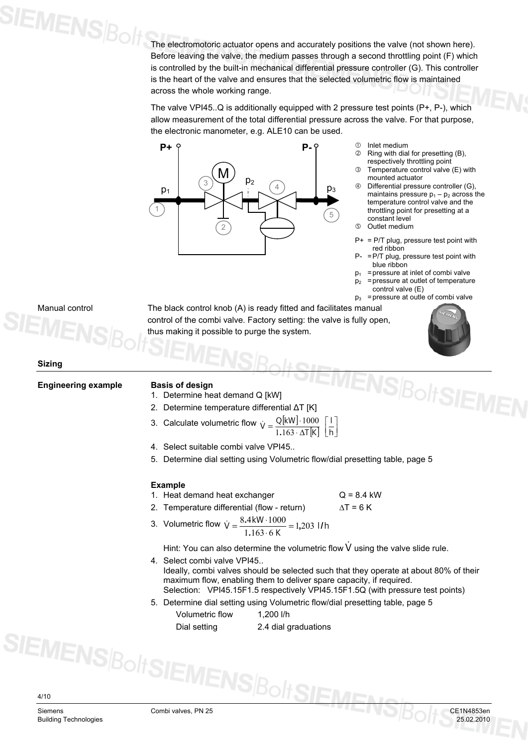The electromotoric actuator opens and accurately positions the valve (not shown here). Before leaving the valve, the medium passes through a second throttling point (F) which is controlled by the built-in mechanical differential pressure controller (G). This controller is the heart of the valve and ensures that the selected volumetric flow is maintained across the whole working range.

The valve VPI45..Q is additionally equipped with 2 pressure test points (P+, P-), which allow measurement of the total differential pressure across the valve. For that purpose, the electronic manometer, e.g. ALE10 can be used.



- Inlet medium
- Ring with dial for presetting (B), respectively throttling point
- Temperature control valve (E) with mounted actuator
- Differential pressure controller (G), maintains pressure  $p_1 - p_2$  across the temperature control valve and the throttling point for presetting at a constant level
- **S** Outlet medium
- P+ = P/T plug, pressure test point with red ribbon
- = P/T plug, pressure test point with blue ribbon
- = pressure at inlet of combi valve
- $p_2$  = pressure at outlet of temperature control valve (E)
- $p_3$  = pressure at outle of combi valve

Manual control

SIEMENS $\beta_{\text{O}}$ 

The black control knob (A) is ready fitted and facilitates manual control of the combi valve. Factory setting: the valve is fully open, thus making it possible to purge the system.



| <b>Basis of design</b><br>1. Determine heat dem |
|-------------------------------------------------|
| 2. Determine temperatu                          |
| 3. Calculate volumetric                         |
| 4. Select suitable comb                         |
| 5. Determine dial settin                        |
| <b>Example</b>                                  |
| 1. Heat demand heat et                          |
| 2. Temperature differen                         |
|                                                 |

#### **Basis of design**

- and Q [kW]
- lre differential ΔT [K]
- 3. Calculate volumetric flow  $\dot{V} = \frac{Q[kW]}{R}$  $\frac{1}{\left[\mathsf{K}\right]} \left[\begin{matrix} \mathsf{I} \ \mathsf{h} \end{matrix} \right]$ I  $=\frac{Q[kW]\cdot 1000}{1.163\cdot \Delta T[k]} \left[\frac{1}{h}\right]$  $\dot{V} = \frac{Q[kW] \cdot 1000}{1.163 \cdot \Delta T[k]}$ 1000 **.** v
- i valve VPI45..
- g using Volumetric flow/dial presetting table, page 5
- 
- $\alpha$  = 8.4 kW
	- $2 \text{ at } t = 6 \text{ K}$
- 3. Volumetric flow  $\dot{V} = \frac{8.4 \text{ kW} \cdot 1000}{1.163 \cdot 6 \text{ K}} = 1,203 \text{ l/h}$

Hint: You can also determine the volumetric flow  $\dot{V}$  using the valve slide rule.

4. Select combi valve VPI45.. Ideally, combi valves should be selected such that they operate at about 80% of their maximum flow, enabling them to deliver spare capacity, if required. Selection: VPI45.15F1.5 respectively VPI45.15F1.5Q (with pressure test points)

5. Determine dial setting using Volumetric flow/dial presetting table, page [5](#page-0-0) 

Volumetric flow 1,200 l/h

Dial setting 2.4 dial graduations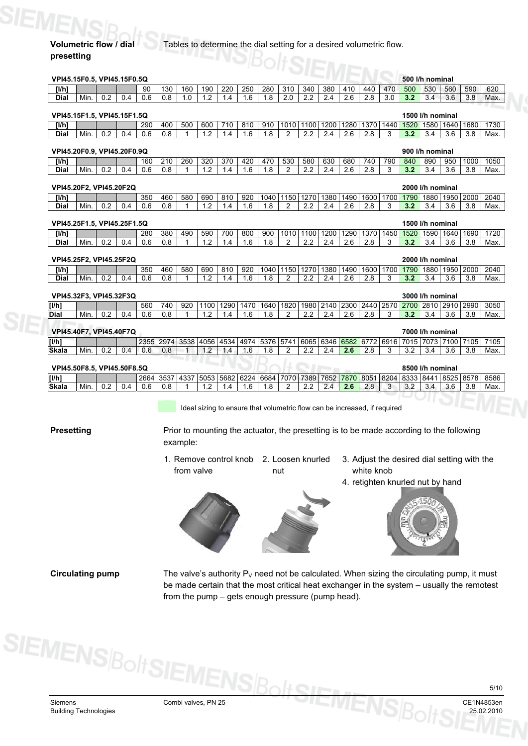#### **Volumetric flow / dial**  Tables to determine the dial setting for a desired volumetric flow. **presetting**  HRIELL

|                                                 |      |     |     |      |     |           |      |      |                |      | <u> 11 W</u>   |      |                       |      |      |      |                  |                  |     |      |      |
|-------------------------------------------------|------|-----|-----|------|-----|-----------|------|------|----------------|------|----------------|------|-----------------------|------|------|------|------------------|------------------|-----|------|------|
| VPI45.15F0.5, VPI45.15F0.5Q                     |      |     |     |      |     |           |      |      |                |      |                |      |                       |      |      |      |                  | 500 I/h nominal  |     |      |      |
| [l/h]                                           |      |     |     | 90   | 130 | 160       | 190  | 220  | 250            | 280  | 310            | 340  | 380                   | 410  | 440  | 470  | 500              | 530              | 560 | 590  | 620  |
| <b>Dial</b>                                     | Min. | 0.2 | 0.4 | 0.6  | 0.8 | 1.0       | 1.2  | 1.4  | 1.6            | 1.8  | 2.0            | 2.2  | 2.4                   | 2.6  | 2.8  | 3.0  | 3.2              | 3.4              | 3.6 | 3.8  | Max. |
| VPI45.15F1.5, VPI45.15F1.5Q                     |      |     |     |      |     |           |      |      |                |      |                |      |                       |      |      |      |                  | 1500 I/h nominal |     |      |      |
| [l/h]                                           |      |     |     | 290  | 400 | 500       | 600  | 710  | 810            | 910  | 1010           | 1100 | 1200                  | 1280 | 1370 | 1440 | 1520             | 1580 1640        |     | 1680 | 1730 |
| Dial                                            | Min. | 0.2 | 0.4 | 0.6  | 0.8 |           | 1.2  | 1.4  | 1.6            | 1.8  | 2              | 2.2  | 2.4                   | 2.6  | 2.8  | 3    | 3.2              | 3.4              | 3.6 | 3.8  | Max. |
| VPI45.20F0.9, VPI45.20F0.9Q                     |      |     |     |      |     |           |      |      |                |      |                |      |                       |      |      |      | 900 I/h nominal  |                  |     |      |      |
| [I/h]                                           |      |     |     | 160  | 210 | 260       | 320  | 370  | 420            | 470  | 530            | 580  | 630                   | 680  | 740  | 790  | 840              | 890              | 950 | 1000 | 1050 |
| <b>Dial</b>                                     | Min. | 0.2 | 0.4 | 0.6  | 0.8 | 1         | 1.2  | 1.4  | 1.6            | 1.8  | $\overline{2}$ | 2.2  | 2.4                   | 2.6  | 2.8  | 3    | 3.2              | 3.4              | 3.6 | 3.8  | Max. |
| VPI45.20F2, VPI45.20F2Q                         |      |     |     |      |     |           |      |      |                |      |                |      |                       |      |      |      |                  | 2000 I/h nominal |     |      |      |
| [l/h]                                           |      |     |     | 350  | 460 | 580       | 690  | 810  | 920            | 1040 | 1150           | 1270 | 1380                  | 1490 | 1600 | 1700 | 1790             | 1880 1950        |     | 2000 | 2040 |
| <b>Dial</b>                                     | Min. | 0.2 | 0.4 | 0.6  | 0.8 | 1         | 1.2  | 1.4  | 1.6            | 1.8  | 2              | 2.2  | 2.4                   | 2.6  | 2.8  | 3    | 3.2              | 3.4              | 3.6 | 3.8  | Max. |
| 1500 I/h nominal<br>VPI45.25F1.5, VPI45.25F1.5Q |      |     |     |      |     |           |      |      |                |      |                |      |                       |      |      |      |                  |                  |     |      |      |
| [I/h]                                           |      |     |     | 280  | 380 | 490       | 590  | 700  | 800            | 900  | 1010           | 1100 | 1200                  | 1290 | 1370 | 1450 | 1520             | 1590 1640        |     | 1690 | 1720 |
| Dial                                            | Min. | 0.2 | 0.4 | 0.6  | 0.8 | 1         | 1.2  | 1.4  | 1.6            | 1.8  | 2              | 2.2  | 2.4                   | 2.6  | 2.8  | 3    | 3.2              | 3.4              | 3.6 | 3.8  | Max. |
| VPI45.25F2, VPI45.25F2Q                         |      |     |     |      |     |           |      |      |                |      |                |      |                       |      |      |      |                  | 2000 I/h nominal |     |      |      |
| [l/h]                                           |      |     |     | 350  | 460 | 580       | 690  | 810  | 920            | 1040 | 1150           | 1270 | 1380                  | 1490 | 1600 | 1700 | 1790             | 1880 1950        |     | 2000 | 2040 |
| Dial                                            | Min. | 0.2 | 0.4 | 0.6  | 0.8 | 1         | 1.2  | 1.4  | 1.6            | 1.8  | $\overline{2}$ | 2.2  | 2.4                   | 2.6  | 2.8  | 3    | 3.2              | 3.4              | 3.6 | 3.8  | Max. |
| VPI45.32F3, VPI45.32F3Q                         |      |     |     |      |     |           |      |      |                |      |                |      |                       |      |      |      |                  | 3000 I/h nominal |     |      |      |
| [1/h]                                           |      |     |     | 560  | 740 | 920       | 1100 | 1290 | 1470           | 1640 | 1820           | 1980 | 2140                  | 2300 | 2440 | 2570 | 2700             | 2810 2910        |     | 2990 | 3050 |
| <b>Dial</b>                                     | Min. | 0.2 | 0.4 | 0.6  | 0.8 | 1         | 1.2  | 1.4  | 1.6            | 1.8  | 2              | 2.2  | 2.4                   | 2.6  | 2.8  | 3    | 3.2              | 3.4              | 3.6 | 3.8  | Max. |
| VPI45.40F7, VPI45.40F7Q                         |      |     |     |      |     |           |      |      |                |      |                |      |                       |      |      |      |                  | 7000 I/h nominal |     |      |      |
| [I/h]                                           |      |     |     | 2355 |     | 2974 3538 | 4056 | 4534 | 4974 5376 5741 |      |                |      | 6065 6346 6582        |      |      |      | 6772 6916 7015   | 7073 7100        |     | 7105 | 7105 |
| <b>Skala</b>                                    | Min. | 0.2 | 0.4 | 0.6  | 0.8 |           | 1.2  | 1.4  | 1.6            | 1.8  | 2              | 2.2  | 2.4                   | 2.6  | 2.8  | 3    | 3.2              | 3.4              | 3.6 | 3.8  | Max. |
| VPI45.50F8.5. VPI45.50F8.5Q                     |      |     |     |      |     |           |      |      |                |      |                |      | <b><i>NEWSTER</i></b> |      |      |      | 8500 I/h nominal |                  |     |      |      |

#### **VPI45.50F8.5, VPI45.50F8.5Q 8500 l/h nominal [l/h]** 2664 3537 4337 5053 5682 6224 6684 7070 7389 7652 7870 8051 8204 8333 8441 8525 8578 8586 **Skala** Min. 0.2 0.4 0.6 0.8 1 1.2 1.4 1.6 1.8 2 2.2 2.4 **2.6** 2.8 3 3.2 3.4 3.6 3.8 Max.

Ideal sizing to ensure that volumetric flow can be increased, if required

#### **Presetting**

Prior to mounting the actuator, the presetting is to be made according to the following example:

- 1. Remove control knob 2. Loosen knurled from valve nut
- 3. Adjust the desired dial setting with the white knob
- 4. retighten knurled nut by hand







**Circulating pump** 

The valve's authority  $P_V$  need not be calculated. When sizing the circulating pump, it must be made certain that the most critical heat exchanger in the system – usually the remotest from the pump – gets enough pressure (pump head).

**SIEMENS**BoltSIE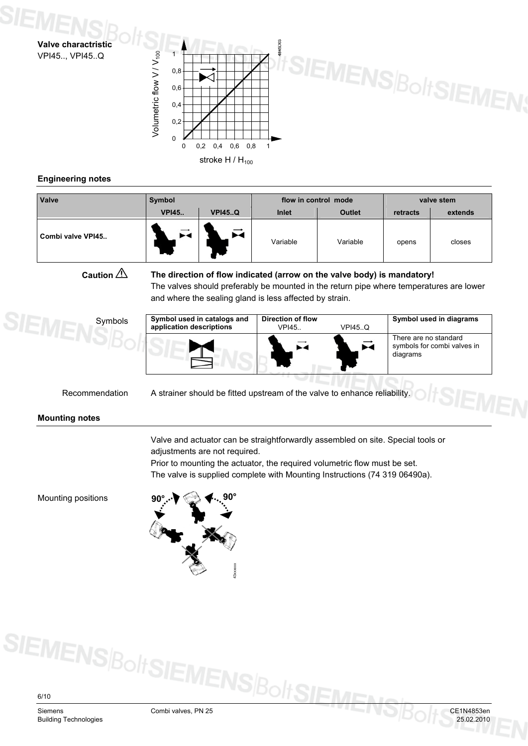**Valve charactristic**

VPI45.., VPI45..Q



#### **Engineering notes**

| Valve             | Symbol       |               |          | flow in control mode | valve stem |         |  |
|-------------------|--------------|---------------|----------|----------------------|------------|---------|--|
|                   | <b>VPI45</b> | <b>VPI45Q</b> | Inlet    | <b>Outlet</b>        | retracts   | extends |  |
| Combi valve VPI45 | <b>EV</b>    | TW.           | Variable | Variable             | opens      | closes  |  |

**Caution** 

**The direction of flow indicated (arrow on the valve body) is mandatory!**  The valves should preferably be mounted in the return pipe where temperatures are lower and where the sealing gland is less affected by strain.

| Symbols | Symbol used in catalogs and<br>application descriptions | Direction of flow<br><b>VPI45</b> | <b>VPI45Q</b> | Symbol used in diagrams                                          |
|---------|---------------------------------------------------------|-----------------------------------|---------------|------------------------------------------------------------------|
|         |                                                         |                                   |               | There are no standard<br>symbols for combi valves in<br>diagrams |
|         |                                                         |                                   |               |                                                                  |

A strainer should be fitted upstream of the valve to enhance reliability. Recommendation

#### **Mounting notes**

Valve and actuator can be straightforwardly assembled on site. Special tools or adjustments are not required.

Prior to mounting the actuator, the required volumetric flow must be set. The valve is supplied complete with Mounting Instructions (74 319 06490a).

Mounting positions



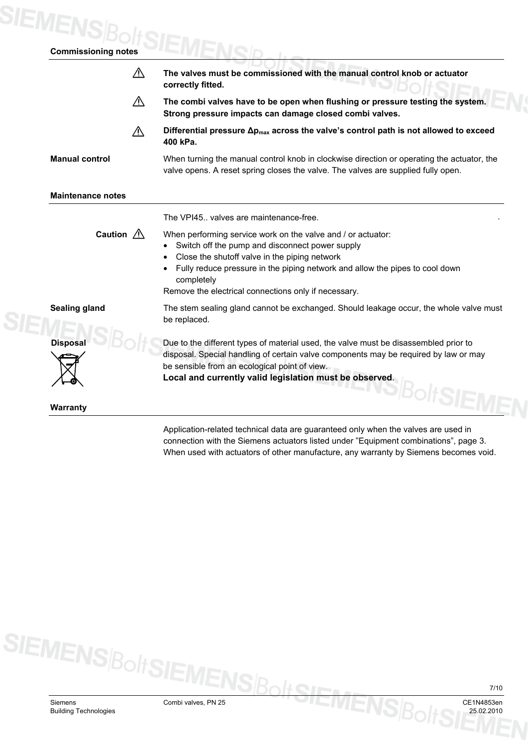|                             | Λ  | The valves must be commissioned with the manual control knob or actuator<br>correctly fitted.                                                                                                                                                                                                                          |  |  |  |  |  |
|-----------------------------|----|------------------------------------------------------------------------------------------------------------------------------------------------------------------------------------------------------------------------------------------------------------------------------------------------------------------------|--|--|--|--|--|
|                             | ΛN | The combi valves have to be open when flushing or pressure testing the system.<br>Strong pressure impacts can damage closed combi valves.                                                                                                                                                                              |  |  |  |  |  |
|                             | 八  | Differential pressure $\Delta p_{max}$ across the valve's control path is not allowed to exceed<br>400 kPa.                                                                                                                                                                                                            |  |  |  |  |  |
| <b>Manual control</b>       |    | When turning the manual control knob in clockwise direction or operating the actuator, the<br>valve opens. A reset spring closes the valve. The valves are supplied fully open.                                                                                                                                        |  |  |  |  |  |
| <b>Maintenance notes</b>    |    |                                                                                                                                                                                                                                                                                                                        |  |  |  |  |  |
|                             |    | The VPI45., valves are maintenance-free.                                                                                                                                                                                                                                                                               |  |  |  |  |  |
| Caution $\bigwedge$         |    | When performing service work on the valve and / or actuator:<br>Switch off the pump and disconnect power supply<br>Close the shutoff valve in the piping network<br>Fully reduce pressure in the piping network and allow the pipes to cool down<br>completely<br>Remove the electrical connections only if necessary. |  |  |  |  |  |
| <b>Sealing gland</b>        |    | The stem sealing gland cannot be exchanged. Should leakage occur, the whole valve must<br>be replaced.                                                                                                                                                                                                                 |  |  |  |  |  |
| <b>Disposal</b><br>Warranty |    | Due to the different types of material used, the valve must be disassembled prior to<br>disposal. Special handling of certain valve components may be required by law or may<br>be sensible from an ecological point of view.<br>Local and currently valid legislation must be observed.                               |  |  |  |  |  |

connection with the Siemens actuators listed under "[Equipment combinations](#page-2-0)", page [3.](#page-0-0) When used with actuators of other manufacture, any warranty by Siemens becomes void.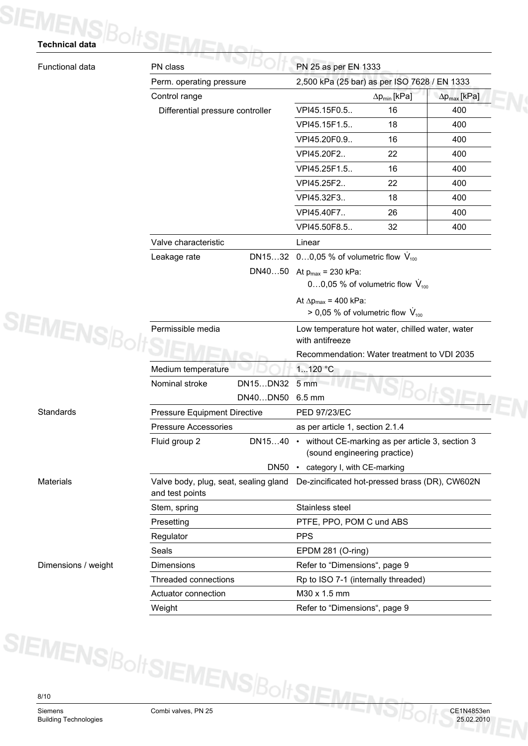# **Technical data**

|                     | Perm. operating pressure                                 |          | PN 25 as per EN 1333<br>2,500 kPa (25 bar) as per ISO 7628 / EN 1333                    |                        |                               |  |  |
|---------------------|----------------------------------------------------------|----------|-----------------------------------------------------------------------------------------|------------------------|-------------------------------|--|--|
|                     | Control range                                            |          |                                                                                         | $\Delta p_{min}$ [kPa] | $\Delta p_{\text{max}}$ [kPa] |  |  |
|                     | Differential pressure controller                         |          | VPI45.15F0.5                                                                            | 16                     | 400                           |  |  |
|                     |                                                          |          | VPI45.15F1.5                                                                            | 18                     | 400                           |  |  |
|                     |                                                          |          | VPI45.20F0.9                                                                            | 16                     | 400                           |  |  |
|                     |                                                          |          | VPI45.20F2                                                                              | 22                     | 400                           |  |  |
|                     |                                                          |          | VPI45.25F1.5                                                                            | 16                     | 400                           |  |  |
|                     |                                                          |          | VPI45.25F2                                                                              | 22                     | 400                           |  |  |
|                     |                                                          |          | VPI45.32F3                                                                              | 18                     | 400                           |  |  |
|                     |                                                          |          | VPI45.40F7                                                                              | 26                     | 400                           |  |  |
|                     |                                                          |          | VPI45.50F8.5                                                                            | 32                     | 400                           |  |  |
|                     | Valve characteristic                                     |          | Linear                                                                                  |                        |                               |  |  |
|                     | Leakage rate                                             | DN1532   | 00,05 % of volumetric flow $V_{100}$                                                    |                        |                               |  |  |
|                     |                                                          | DN4050   | At $p_{max}$ = 230 kPa:                                                                 |                        |                               |  |  |
|                     |                                                          |          | 00,05 % of volumetric flow $V_{100}$                                                    |                        |                               |  |  |
|                     |                                                          |          | At $\Delta p_{max}$ = 400 kPa:                                                          |                        |                               |  |  |
|                     |                                                          |          | > 0,05 % of volumetric flow $V_{100}$                                                   |                        |                               |  |  |
| <b>SIEMENSBO</b>    | Permissible media                                        |          | Low temperature hot water, chilled water, water<br>with antifreeze                      |                        |                               |  |  |
|                     |                                                          |          | Recommendation: Water treatment to VDI 2035                                             |                        |                               |  |  |
|                     | Medium temperature                                       |          | 1120 °C                                                                                 |                        |                               |  |  |
|                     | Nominal stroke                                           | DN15DN32 | 5 <sub>mm</sub>                                                                         |                        |                               |  |  |
|                     |                                                          | DN40DN50 | 6.5 mm                                                                                  |                        |                               |  |  |
| Standards           | Pressure Equipment Directive                             |          | PED 97/23/EC                                                                            |                        |                               |  |  |
|                     | <b>Pressure Accessories</b>                              |          | as per article 1, section 2.1.4                                                         |                        |                               |  |  |
|                     | Fluid group 2                                            |          | DN1540 • without CE-marking as per article 3, section 3<br>(sound engineering practice) |                        |                               |  |  |
|                     |                                                          |          | DN50 • category I, with CE-marking                                                      |                        |                               |  |  |
| <b>Materials</b>    | Valve body, plug, seat, sealing gland<br>and test points |          | De-zincificated hot-pressed brass (DR), CW602N                                          |                        |                               |  |  |
|                     | Stem, spring                                             |          | Stainless steel                                                                         |                        |                               |  |  |
|                     | Presetting                                               |          | PTFE, PPO, POM C und ABS                                                                |                        |                               |  |  |
|                     | Regulator                                                |          | <b>PPS</b>                                                                              |                        |                               |  |  |
|                     | Seals                                                    |          | EPDM 281 (O-ring)                                                                       |                        |                               |  |  |
| Dimensions / weight | <b>Dimensions</b>                                        |          | Refer to "Dimensions", page 9                                                           |                        |                               |  |  |
|                     | Threaded connections                                     |          | Rp to ISO 7-1 (internally threaded)                                                     |                        |                               |  |  |
|                     | Actuator connection                                      |          | M30 x 1.5 mm                                                                            |                        |                               |  |  |
|                     | Weight                                                   |          | Refer to "Dimensions", page 9                                                           |                        |                               |  |  |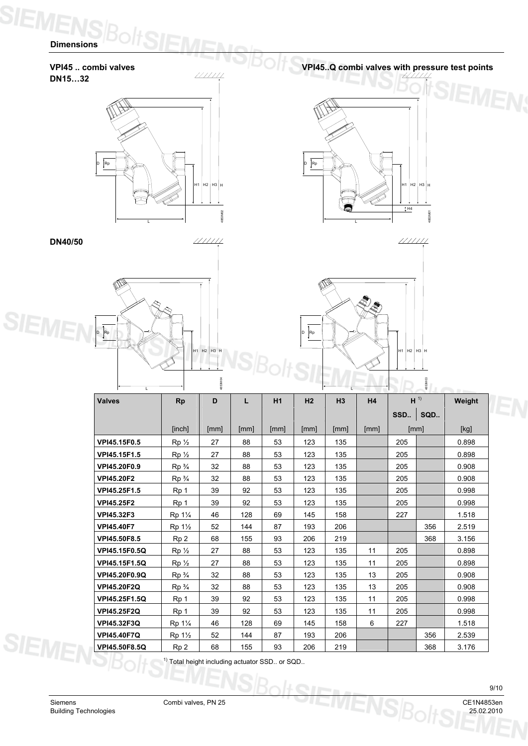### **Dimensions**

<span id="page-8-0"></span>SIE

**VPI45..Q combi valves** vPI45..Q combi valves with pressure test points<br>
PN15 32 **DN15…32** 

H1 H2 H3 H L  $\rm \dot{R}$ p 4853M02

 $111111$ 

**DN40/50** 







| <b>Valves</b>      | <b>Rp</b>                        | D    | L    | H1   | H <sub>2</sub> | H <sub>3</sub> | H <sub>4</sub> |     | H <sup>1</sup> | Weight |
|--------------------|----------------------------------|------|------|------|----------------|----------------|----------------|-----|----------------|--------|
|                    |                                  |      |      |      |                |                |                | SSD | SQD            |        |
|                    | [inch]                           | [mm] | [mm] | [mm] | [mm]           | [mm]           | [mm]           |     | [mm]           | [kg]   |
| VPI45.15F0.5       | $Rp_{2}$                         | 27   | 88   | 53   | 123            | 135            |                | 205 |                | 0.898  |
| VPI45.15F1.5       | $Rp_{2}$                         | 27   | 88   | 53   | 123            | 135            |                | 205 |                | 0.898  |
| VPI45.20F0.9       | $Rp_{4}$                         | 32   | 88   | 53   | 123            | 135            |                | 205 |                | 0.908  |
| <b>VPI45.20F2</b>  | $Rp\frac{3}{4}$                  | 32   | 88   | 53   | 123            | 135            |                | 205 |                | 0.908  |
| VPI45.25F1.5       | Rp 1                             | 39   | 92   | 53   | 123            | 135            |                | 205 |                | 0.998  |
| <b>VPI45.25F2</b>  | Rp 1                             | 39   | 92   | 53   | 123            | 135            |                | 205 |                | 0.998  |
| <b>VPI45.32F3</b>  | Rp 1%                            | 46   | 128  | 69   | 145            | 158            |                | 227 |                | 1.518  |
| <b>VPI45.40F7</b>  | Rp 1 <sup>1</sup> / <sub>2</sub> | 52   | 144  | 87   | 193            | 206            |                |     | 356            | 2.519  |
| VPI45.50F8.5       | Rp <sub>2</sub>                  | 68   | 155  | 93   | 206            | 219            |                |     | 368            | 3.156  |
| VPI45.15F0.5Q      | $Rp_{2}$                         | 27   | 88   | 53   | 123            | 135            | 11             | 205 |                | 0.898  |
| VPI45.15F1.5Q      | $Rp_{2}$                         | 27   | 88   | 53   | 123            | 135            | 11             | 205 |                | 0.898  |
| VPI45.20F0.9Q      | $Rp\frac{3}{4}$                  | 32   | 88   | 53   | 123            | 135            | 13             | 205 |                | 0.908  |
| <b>VPI45.20F2Q</b> | $Rp_{4}$                         | 32   | 88   | 53   | 123            | 135            | 13             | 205 |                | 0.908  |
| VPI45.25F1.5Q      | Rp 1                             | 39   | 92   | 53   | 123            | 135            | 11             | 205 |                | 0.998  |
| <b>VPI45.25F2Q</b> | Rp 1                             | 39   | 92   | 53   | 123            | 135            | 11             | 205 |                | 0.998  |
| <b>VPI45.32F3Q</b> | Rp 1%                            | 46   | 128  | 69   | 145            | 158            | 6              | 227 |                | 1.518  |
| <b>VPI45.40F7Q</b> | Rp 1 <sup>1</sup> / <sub>2</sub> | 52   | 144  | 87   | 193            | 206            |                |     | 356            | 2.539  |
| VPI45.50F8.5Q      | Rp <sub>2</sub>                  | 68   | 155  | 93   | 206            | 219            |                |     | 368            | 3.176  |

 $1)$  Total height including actuator SSD.. or SQD..